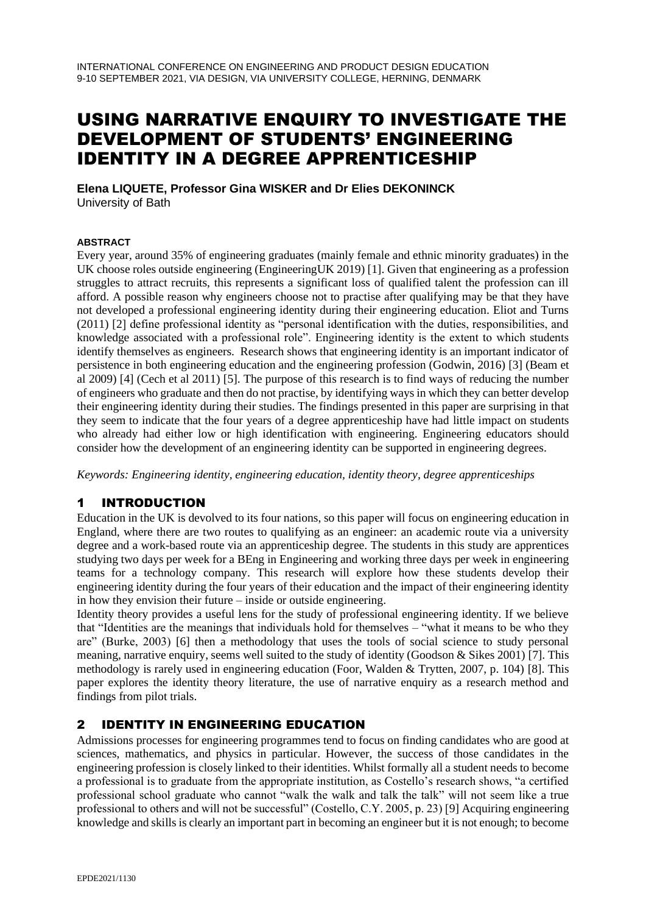# USING NARRATIVE ENQUIRY TO INVESTIGATE THE DEVELOPMENT OF STUDENTS' ENGINEERING IDENTITY IN A DEGREE APPRENTICESHIP

**Elena LIQUETE, Professor Gina WISKER and Dr Elies DEKONINCK** University of Bath

#### **ABSTRACT**

Every year, around 35% of engineering graduates (mainly female and ethnic minority graduates) in the UK choose roles outside engineering (EngineeringUK 2019) [1]. Given that engineering as a profession struggles to attract recruits, this represents a significant loss of qualified talent the profession can ill afford. A possible reason why engineers choose not to practise after qualifying may be that they have not developed a professional engineering identity during their engineering education. Eliot and Turns (2011) [2] define professional identity as "personal identification with the duties, responsibilities, and knowledge associated with a professional role". Engineering identity is the extent to which students identify themselves as engineers. Research shows that engineering identity is an important indicator of persistence in both engineering education and the engineering profession (Godwin, 2016) [3] (Beam et al 2009) [4] (Cech et al 2011) [5]. The purpose of this research is to find ways of reducing the number of engineers who graduate and then do not practise, by identifying ways in which they can better develop their engineering identity during their studies. The findings presented in this paper are surprising in that they seem to indicate that the four years of a degree apprenticeship have had little impact on students who already had either low or high identification with engineering. Engineering educators should consider how the development of an engineering identity can be supported in engineering degrees.

*Keywords: Engineering identity, engineering education, identity theory, degree apprenticeships*

### 1 INTRODUCTION

Education in the UK is devolved to its four nations, so this paper will focus on engineering education in England, where there are two routes to qualifying as an engineer: an academic route via a university degree and a work-based route via an apprenticeship degree. The students in this study are apprentices studying two days per week for a BEng in Engineering and working three days per week in engineering teams for a technology company. This research will explore how these students develop their engineering identity during the four years of their education and the impact of their engineering identity in how they envision their future – inside or outside engineering.

Identity theory provides a useful lens for the study of professional engineering identity. If we believe that "Identities are the meanings that individuals hold for themselves – "what it means to be who they are" (Burke, 2003) [6] then a methodology that uses the tools of social science to study personal meaning, narrative enquiry, seems well suited to the study of identity (Goodson & Sikes 2001) [7]. This methodology is rarely used in engineering education (Foor, Walden & Trytten, 2007, p. 104) [8]. This paper explores the identity theory literature, the use of narrative enquiry as a research method and findings from pilot trials.

# 2 IDENTITY IN ENGINEERING EDUCATION

Admissions processes for engineering programmes tend to focus on finding candidates who are good at sciences, mathematics, and physics in particular. However, the success of those candidates in the engineering profession is closely linked to their identities. Whilst formally all a student needs to become a professional is to graduate from the appropriate institution, as Costello's research shows, "a certified professional school graduate who cannot "walk the walk and talk the talk" will not seem like a true professional to others and will not be successful" (Costello, C.Y. 2005, p. 23) [9] Acquiring engineering knowledge and skills is clearly an important part in becoming an engineer but it is not enough; to become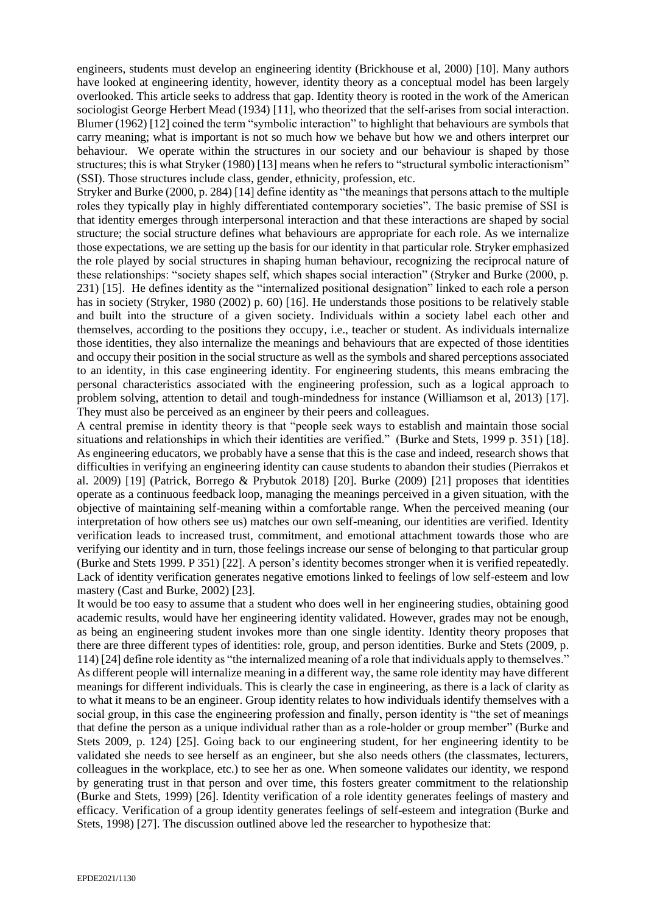engineers, students must develop an engineering identity (Brickhouse et al, 2000) [10]. Many authors have looked at engineering identity, however, identity theory as a conceptual model has been largely overlooked. This article seeks to address that gap. Identity theory is rooted in the work of the American sociologist George Herbert Mead (1934) [11], who theorized that the self-arises from social interaction. Blumer (1962) [12] coined the term "symbolic interaction" to highlight that behaviours are symbols that carry meaning; what is important is not so much how we behave but how we and others interpret our behaviour. We operate within the structures in our society and our behaviour is shaped by those structures; this is what Stryker (1980) [13] means when he refers to "structural symbolic interactionism" (SSI). Those structures include class, gender, ethnicity, profession, etc.

Stryker and Burke (2000, p. 284) [14] define identity as "the meanings that persons attach to the multiple roles they typically play in highly differentiated contemporary societies". The basic premise of SSI is that identity emerges through interpersonal interaction and that these interactions are shaped by social structure; the social structure defines what behaviours are appropriate for each role. As we internalize those expectations, we are setting up the basis for our identity in that particular role. Stryker emphasized the role played by social structures in shaping human behaviour, recognizing the reciprocal nature of these relationships: "society shapes self, which shapes social interaction" (Stryker and Burke (2000, p. 231) [15]. He defines identity as the "internalized positional designation" linked to each role a person has in society (Stryker, 1980 (2002) p. 60) [16]. He understands those positions to be relatively stable and built into the structure of a given society. Individuals within a society label each other and themselves, according to the positions they occupy, i.e., teacher or student. As individuals internalize those identities, they also internalize the meanings and behaviours that are expected of those identities and occupy their position in the social structure as well as the symbols and shared perceptions associated to an identity, in this case engineering identity. For engineering students, this means embracing the personal characteristics associated with the engineering profession, such as a logical approach to problem solving, attention to detail and tough-mindedness for instance (Williamson et al, 2013) [17]. They must also be perceived as an engineer by their peers and colleagues.

A central premise in identity theory is that "people seek ways to establish and maintain those social situations and relationships in which their identities are verified." (Burke and Stets, 1999 p. 351) [18]. As engineering educators, we probably have a sense that this is the case and indeed, research shows that difficulties in verifying an engineering identity can cause students to abandon their studies (Pierrakos et al. 2009) [19] (Patrick, Borrego & Prybutok 2018) [20]. Burke (2009) [21] proposes that identities operate as a continuous feedback loop, managing the meanings perceived in a given situation, with the objective of maintaining self-meaning within a comfortable range. When the perceived meaning (our interpretation of how others see us) matches our own self-meaning, our identities are verified. Identity verification leads to increased trust, commitment, and emotional attachment towards those who are verifying our identity and in turn, those feelings increase our sense of belonging to that particular group (Burke and Stets 1999. P 351) [22]. A person's identity becomes stronger when it is verified repeatedly. Lack of identity verification generates negative emotions linked to feelings of low self-esteem and low mastery (Cast and Burke, 2002) [23].

It would be too easy to assume that a student who does well in her engineering studies, obtaining good academic results, would have her engineering identity validated. However, grades may not be enough, as being an engineering student invokes more than one single identity. Identity theory proposes that there are three different types of identities: role, group, and person identities. Burke and Stets (2009, p. 114) [24] define role identity as "the internalized meaning of a role that individuals apply to themselves." As different people will internalize meaning in a different way, the same role identity may have different meanings for different individuals. This is clearly the case in engineering, as there is a lack of clarity as to what it means to be an engineer. Group identity relates to how individuals identify themselves with a social group, in this case the engineering profession and finally, person identity is "the set of meanings that define the person as a unique individual rather than as a role-holder or group member" (Burke and Stets 2009, p. 124) [25]. Going back to our engineering student, for her engineering identity to be validated she needs to see herself as an engineer, but she also needs others (the classmates, lecturers, colleagues in the workplace, etc.) to see her as one. When someone validates our identity, we respond by generating trust in that person and over time, this fosters greater commitment to the relationship (Burke and Stets, 1999) [26]. Identity verification of a role identity generates feelings of mastery and efficacy. Verification of a group identity generates feelings of self-esteem and integration (Burke and Stets, 1998) [27]. The discussion outlined above led the researcher to hypothesize that: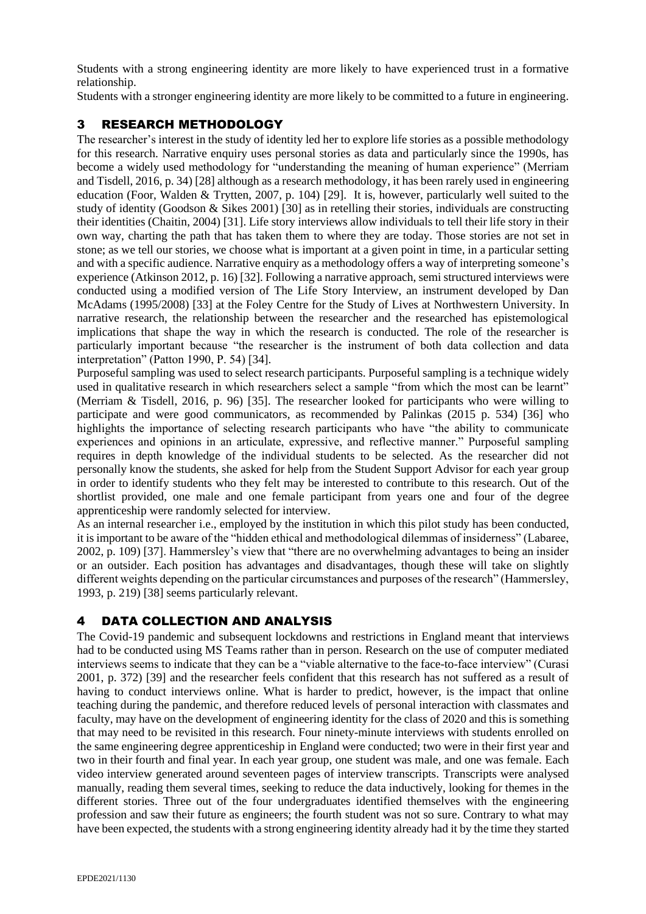Students with a strong engineering identity are more likely to have experienced trust in a formative relationship.

Students with a stronger engineering identity are more likely to be committed to a future in engineering.

## 3 RESEARCH METHODOLOGY

The researcher's interest in the study of identity led her to explore life stories as a possible methodology for this research. Narrative enquiry uses personal stories as data and particularly since the 1990s, has become a widely used methodology for "understanding the meaning of human experience" (Merriam and Tisdell, 2016, p. 34) [28] although as a research methodology, it has been rarely used in engineering education (Foor, Walden & Trytten, 2007, p. 104) [29]. It is, however, particularly well suited to the study of identity (Goodson & Sikes 2001) [30] as in retelling their stories, individuals are constructing their identities (Chaitin, 2004) [31]. Life story interviews allow individuals to tell their life story in their own way, charting the path that has taken them to where they are today. Those stories are not set in stone; as we tell our stories, we choose what is important at a given point in time, in a particular setting and with a specific audience. Narrative enquiry as a methodology offers a way of interpreting someone's experience (Atkinson 2012, p. 16) [32]. Following a narrative approach, semi structured interviews were conducted using a modified version of The Life Story Interview, an instrument developed by Dan McAdams (1995/2008) [33] at the Foley Centre for the Study of Lives at Northwestern University. In narrative research, the relationship between the researcher and the researched has epistemological implications that shape the way in which the research is conducted. The role of the researcher is particularly important because "the researcher is the instrument of both data collection and data interpretation" (Patton 1990, P. 54) [34].

Purposeful sampling was used to select research participants. Purposeful sampling is a technique widely used in qualitative research in which researchers select a sample "from which the most can be learnt" (Merriam & Tisdell, 2016, p. 96) [35]. The researcher looked for participants who were willing to participate and were good communicators, as recommended by Palinkas (2015 p. 534) [36] who highlights the importance of selecting research participants who have "the ability to communicate experiences and opinions in an articulate, expressive, and reflective manner." Purposeful sampling requires in depth knowledge of the individual students to be selected. As the researcher did not personally know the students, she asked for help from the Student Support Advisor for each year group in order to identify students who they felt may be interested to contribute to this research. Out of the shortlist provided, one male and one female participant from years one and four of the degree apprenticeship were randomly selected for interview.

As an internal researcher i.e., employed by the institution in which this pilot study has been conducted, it is important to be aware of the "hidden ethical and methodological dilemmas of insiderness" (Labaree, 2002, p. 109) [37]. Hammersley's view that "there are no overwhelming advantages to being an insider or an outsider. Each position has advantages and disadvantages, though these will take on slightly different weights depending on the particular circumstances and purposes of the research" (Hammersley, 1993, p. 219) [38] seems particularly relevant.

# 4 DATA COLLECTION AND ANALYSIS

The Covid-19 pandemic and subsequent lockdowns and restrictions in England meant that interviews had to be conducted using MS Teams rather than in person. Research on the use of computer mediated interviews seems to indicate that they can be a "viable alternative to the face-to-face interview" (Curasi 2001, p. 372) [39] and the researcher feels confident that this research has not suffered as a result of having to conduct interviews online. What is harder to predict, however, is the impact that online teaching during the pandemic, and therefore reduced levels of personal interaction with classmates and faculty, may have on the development of engineering identity for the class of 2020 and this is something that may need to be revisited in this research. Four ninety-minute interviews with students enrolled on the same engineering degree apprenticeship in England were conducted; two were in their first year and two in their fourth and final year. In each year group, one student was male, and one was female. Each video interview generated around seventeen pages of interview transcripts. Transcripts were analysed manually, reading them several times, seeking to reduce the data inductively, looking for themes in the different stories. Three out of the four undergraduates identified themselves with the engineering profession and saw their future as engineers; the fourth student was not so sure. Contrary to what may have been expected, the students with a strong engineering identity already had it by the time they started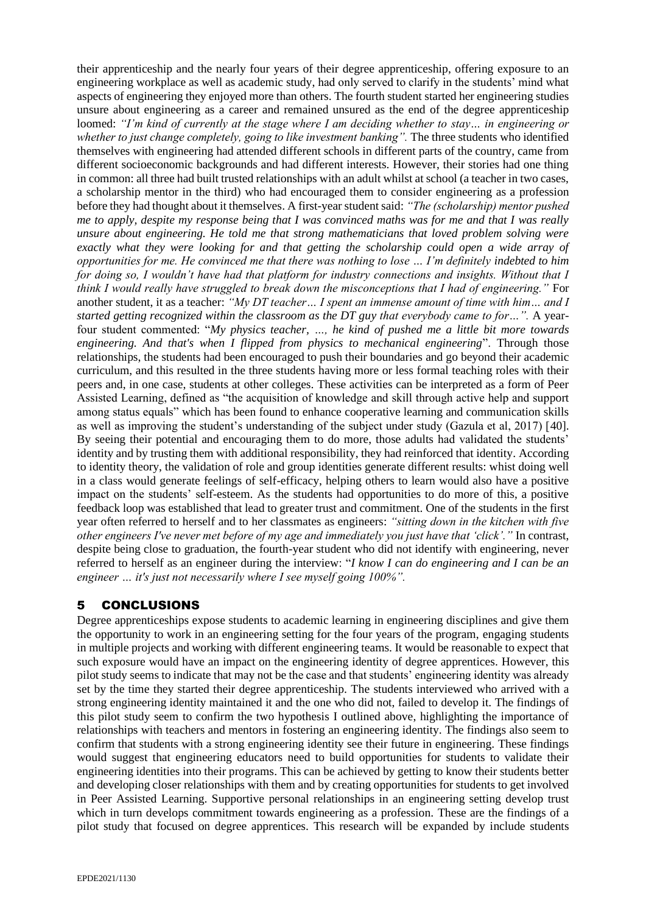their apprenticeship and the nearly four years of their degree apprenticeship, offering exposure to an engineering workplace as well as academic study, had only served to clarify in the students' mind what aspects of engineering they enjoyed more than others. The fourth student started her engineering studies unsure about engineering as a career and remained unsured as the end of the degree apprenticeship loomed: *"I'm kind of currently at the stage where I am deciding whether to stay… in engineering or whether to just change completely, going to like investment banking".* The three students who identified themselves with engineering had attended different schools in different parts of the country, came from different socioeconomic backgrounds and had different interests. However, their stories had one thing in common: all three had built trusted relationships with an adult whilst at school (a teacher in two cases, a scholarship mentor in the third) who had encouraged them to consider engineering as a profession before they had thought about it themselves. A first-year student said: *"The (scholarship) mentor pushed me to apply, despite my response being that I was convinced maths was for me and that I was really unsure about engineering. He told me that strong mathematicians that loved problem solving were exactly what they were looking for and that getting the scholarship could open a wide array of opportunities for me. He convinced me that there was nothing to lose … I'm definitely indebted to him for doing so, I wouldn't have had that platform for industry connections and insights. Without that I think I would really have struggled to break down the misconceptions that I had of engineering."* For another student, it as a teacher: *"My DT teacher… I spent an immense amount of time with him… and I started getting recognized within the classroom as the DT guy that everybody came to for…".* A yearfour student commented: "*My physics teacher, …, he kind of pushed me a little bit more towards engineering. And that's when I flipped from physics to mechanical engineering*". Through those relationships, the students had been encouraged to push their boundaries and go beyond their academic curriculum, and this resulted in the three students having more or less formal teaching roles with their peers and, in one case, students at other colleges. These activities can be interpreted as a form of Peer Assisted Learning, defined as "the acquisition of knowledge and skill through active help and support among status equals" which has been found to enhance cooperative learning and communication skills as well as improving the student's understanding of the subject under study (Gazula et al, 2017) [40]. By seeing their potential and encouraging them to do more, those adults had validated the students' identity and by trusting them with additional responsibility, they had reinforced that identity. According to identity theory, the validation of role and group identities generate different results: whist doing well in a class would generate feelings of self-efficacy, helping others to learn would also have a positive impact on the students' self-esteem. As the students had opportunities to do more of this, a positive feedback loop was established that lead to greater trust and commitment. One of the students in the first year often referred to herself and to her classmates as engineers: *"sitting down in the kitchen with five other engineers I've never met before of my age and immediately you just have that 'click'."* In contrast, despite being close to graduation, the fourth-year student who did not identify with engineering, never referred to herself as an engineer during the interview: "*I know I can do engineering and I can be an engineer … it's just not necessarily where I see myself going 100%".*

### 5 CONCLUSIONS

Degree apprenticeships expose students to academic learning in engineering disciplines and give them the opportunity to work in an engineering setting for the four years of the program, engaging students in multiple projects and working with different engineering teams. It would be reasonable to expect that such exposure would have an impact on the engineering identity of degree apprentices. However, this pilot study seems to indicate that may not be the case and that students' engineering identity was already set by the time they started their degree apprenticeship. The students interviewed who arrived with a strong engineering identity maintained it and the one who did not, failed to develop it. The findings of this pilot study seem to confirm the two hypothesis I outlined above, highlighting the importance of relationships with teachers and mentors in fostering an engineering identity. The findings also seem to confirm that students with a strong engineering identity see their future in engineering. These findings would suggest that engineering educators need to build opportunities for students to validate their engineering identities into their programs. This can be achieved by getting to know their students better and developing closer relationships with them and by creating opportunities for students to get involved in Peer Assisted Learning. Supportive personal relationships in an engineering setting develop trust which in turn develops commitment towards engineering as a profession. These are the findings of a pilot study that focused on degree apprentices. This research will be expanded by include students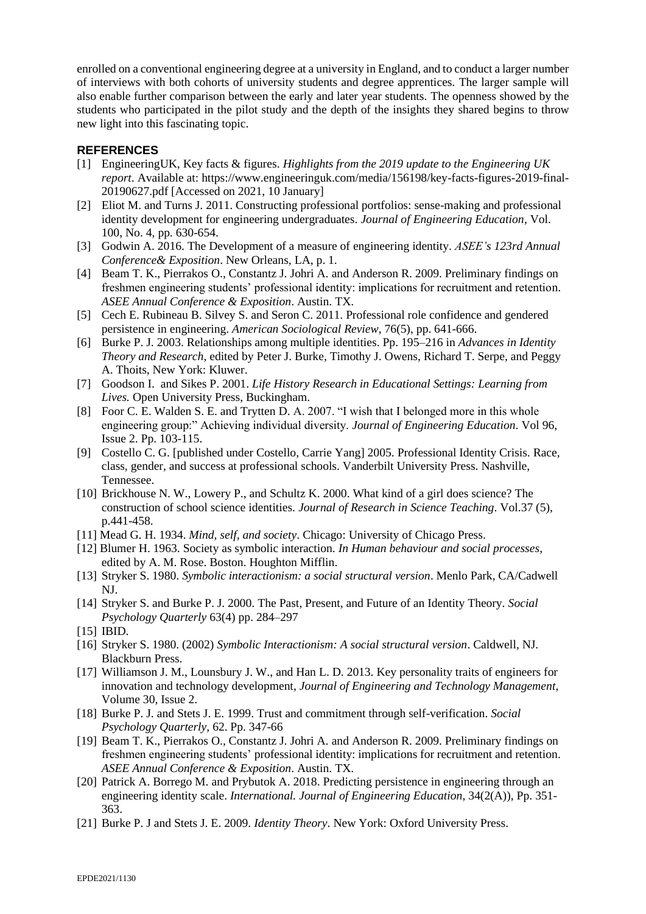enrolled on a conventional engineering degree at a university in England, and to conduct a larger number of interviews with both cohorts of university students and degree apprentices. The larger sample will also enable further comparison between the early and later year students. The openness showed by the students who participated in the pilot study and the depth of the insights they shared begins to throw new light into this fascinating topic.

#### **REFERENCES**

- [1] EngineeringUK, Key facts & figures. *Highlights from the 2019 update to the Engineering UK report*. Available at: [https://www.engineeringuk.com/media/156198/key-facts-figures-2019-final-](https://www.engineeringuk.com/media/156198/key-facts-figures-2019-final-20190627.pdf)[20190627.pdf](https://www.engineeringuk.com/media/156198/key-facts-figures-2019-final-20190627.pdf) [Accessed on 2021, 10 January]
- [2] Eliot M. and Turns J. 2011. Constructing professional portfolios: sense-making and professional identity development for engineering undergraduates. *Journal of Engineering Education*, Vol. 100, No. 4, pp. 630-654.
- [3] Godwin A. 2016. The Development of a measure of engineering identity. *ASEE's 123rd Annual Conference& Exposition*. New Orleans, LA, p. 1.
- [4] Beam T. K., Pierrakos O., Constantz J. Johri A. and Anderson R. 2009. Preliminary findings on freshmen engineering students' professional identity: implications for recruitment and retention. *ASEE Annual Conference & Exposition*. Austin. TX.
- [5] Cech E. Rubineau B. Silvey S. and Seron C. 2011. Professional role confidence and gendered persistence in engineering. *American Sociological Review*, 76(5), pp. 641-666.
- [6] Burke P. J. 2003. Relationships among multiple identities. Pp. 195–216 in *Advances in Identity Theory and Research*, edited by Peter J. Burke, Timothy J. Owens, Richard T. Serpe, and Peggy A. Thoits, New York: Kluwer.
- [7] Goodson I. and Sikes P. 2001. *Life History Research in Educational Settings: Learning from Lives.* Open University Press, Buckingham.
- [8] Foor C. E. Walden S. E. and Trytten D. A. 2007. "I wish that I belonged more in this whole engineering group:" Achieving individual diversity. *Journal of Engineering Education*. Vol 96, Issue 2. Pp. 103-115.
- [9] Costello C. G. [published under Costello, Carrie Yang] 2005. Professional Identity Crisis. Race, class, gender, and success at professional schools. Vanderbilt University Press. Nashville, Tennessee.
- [10] Brickhouse N. W., Lowery P., and Schultz K. 2000. What kind of a girl does science? The construction of school science identities. *Journal of Research in Science Teaching*. Vol.37 (5), p.441-458.
- [11] Mead G. H. 1934. *Mind, self, and society*. Chicago: University of Chicago Press.
- [12] Blumer H. 1963. Society as symbolic interaction. *In Human behaviour and social processes*, edited by A. M. Rose. Boston. Houghton Mifflin.
- [13] Stryker S. 1980. *Symbolic interactionism: a social structural version*. Menlo Park, CA/Cadwell NJ.
- [14] Stryker S. and Burke P. J. 2000. The Past, Present, and Future of an Identity Theory. *Social Psychology Quarterly* 63(4) pp. 284–297
- [15] IBID.
- [16] Stryker S. 1980. (2002) *Symbolic Interactionism: A social structural version*. Caldwell, NJ. Blackburn Press.
- [17] Williamson J. M., Lounsbury J. W., and Han L. D. 2013. Key personality traits of engineers for innovation and technology development, *Journal of Engineering and Technology Management*, Volume 30, Issue 2.
- [18] Burke P. J. and Stets J. E. 1999. Trust and commitment through self-verification. *Social Psychology Quarterly*, 62. Pp. 347-66
- [19] Beam T. K., Pierrakos O., Constantz J. Johri A. and Anderson R. 2009. Preliminary findings on freshmen engineering students' professional identity: implications for recruitment and retention. *ASEE Annual Conference & Exposition*. Austin. TX.
- [20] Patrick A. Borrego M. and Prybutok A. 2018. Predicting persistence in engineering through an engineering identity scale. *International. Journal of Engineering Education*, 34(2(A)), Pp. 351- 363.
- [21] Burke P. J and Stets J. E. 2009. *Identity Theory*. New York: Oxford University Press.